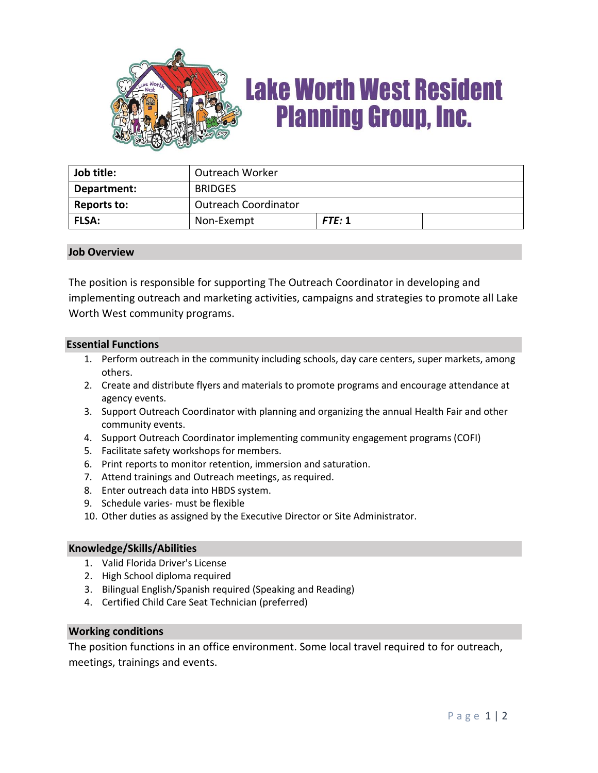

# **Lake Worth West Resident Planning Group, Inc.**

| Job title:   | <b>Outreach Worker</b>      |        |  |
|--------------|-----------------------------|--------|--|
| Department:  | <b>BRIDGES</b>              |        |  |
| Reports to:  | <b>Outreach Coordinator</b> |        |  |
| <b>FLSA:</b> | Non-Exempt                  | FTE: 1 |  |

### **Job Overview**

The position is responsible for supporting The Outreach Coordinator in developing and implementing outreach and marketing activities, campaigns and strategies to promote all Lake Worth West community programs.

#### **Essential Functions**

- 1. Perform outreach in the community including schools, day care centers, super markets, among others.
- 2. Create and distribute flyers and materials to promote programs and encourage attendance at agency events.
- 3. Support Outreach Coordinator with planning and organizing the annual Health Fair and other community events.
- 4. Support Outreach Coordinator implementing community engagement programs (COFI)
- 5. Facilitate safety workshops for members.
- 6. Print reports to monitor retention, immersion and saturation.
- 7. Attend trainings and Outreach meetings, as required.
- 8. Enter outreach data into HBDS system.
- 9. Schedule varies- must be flexible
- 10. Other duties as assigned by the Executive Director or Site Administrator.

#### **Knowledge/Skills/Abilities**

- 1. Valid Florida Driver's License
- 2. High School diploma required
- 3. Bilingual English/Spanish required (Speaking and Reading)
- 4. Certified Child Care Seat Technician (preferred)

#### **Working conditions**

The position functions in an office environment. Some local travel required to for outreach, meetings, trainings and events.